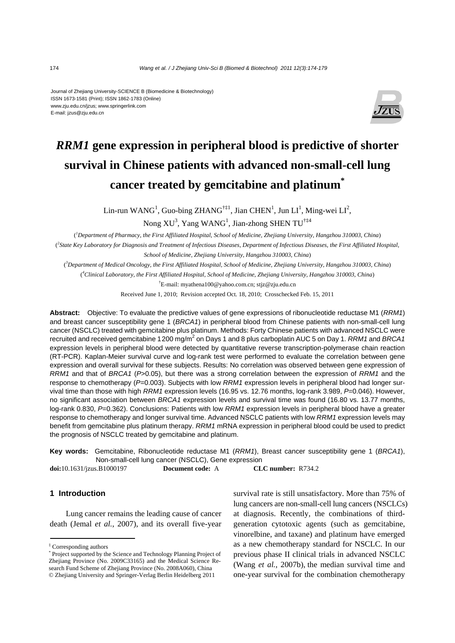#### Journal of Zhejiang University-SCIENCE B (Biomedicine & Biotechnology) ISSN 1673-1581 (Print); ISSN 1862-1783 (Online) www.zju.edu.cn/jzus; www.springerlink.com E-mail: jzus@zju.edu.cn



# *RRM1* **gene expression in peripheral blood is predictive of shorter survival in Chinese patients with advanced non-small-cell lung cancer treated by gemcitabine and platinum\***

Lin-run WANG<sup>1</sup>, Guo-bing ZHANG<sup>†‡1</sup>, Jian CHEN<sup>1</sup>, Jun LI<sup>1</sup>, Ming-wei LI<sup>2</sup>,

Nong XU<sup>3</sup>, Yang WANG<sup>1</sup>, Jian-zhong SHEN TU<sup>†‡4</sup>

( *1 Department of Pharmacy, the First Affiliated Hospital, School of Medicine, Zhejiang University, Hangzhou 310003, China*) ( *2 State Key Laboratory for Diagnosis and Treatment of Infectious Diseases, Department of Infectious Diseases, the First Affiliated Hospital, School of Medicine, Zhejiang University, Hangzhou 310003, China*)

( *3 Department of Medical Oncology, the First Affiliated Hospital, School of Medicine, Zhejiang University, Hangzhou 310003, China*)

( *4 Clinical Laboratory, the First Affiliated Hospital, School of Medicine, Zhejiang University, Hangzhou 310003, China*)

† E-mail: myathena100@yahoo.com.cn; stjz@zju.edu.cn

Received June 1, 2010; Revision accepted Oct. 18, 2010; Crosschecked Feb. 15, 2011

**Abstract:** Objective: To evaluate the predictive values of gene expressions of ribonucleotide reductase M1 (*RRM1*) and breast cancer susceptibility gene 1 (*BRCA1*) in peripheral blood from Chinese patients with non-small-cell lung cancer (NSCLC) treated with gemcitabine plus platinum. Methods: Forty Chinese patients with advanced NSCLC were recruited and received gemcitabine 1200 mg/m<sup>2</sup> on Days 1 and 8 plus carboplatin AUC 5 on Day 1. *RRM1* and *BRCA1* expression levels in peripheral blood were detected by quantitative reverse transcription-polymerase chain reaction (RT-PCR). Kaplan-Meier survival curve and log-rank test were performed to evaluate the correlation between gene expression and overall survival for these subjects. Results: No correlation was observed between gene expression of *RRM1* and that of *BRCA1* (*P*>0.05), but there was a strong correlation between the expression of *RRM1* and the response to chemotherapy (*P*=0.003). Subjects with low *RRM1* expression levels in peripheral blood had longer survival time than those with high *RRM1* expression levels (16.95 vs. 12.76 months, log-rank 3.989, *P*=0.046). However, no significant association between *BRCA1* expression levels and survival time was found (16.80 vs. 13.77 months, log-rank 0.830, *P*=0.362). Conclusions: Patients with low *RRM1* expression levels in peripheral blood have a greater response to chemotherapy and longer survival time. Advanced NSCLC patients with low *RRM1* expression levels may benefit from gemcitabine plus platinum therapy. *RRM1* mRNA expression in peripheral blood could be used to predict the prognosis of NSCLC treated by gemcitabine and platinum.

**Key words:** Gemcitabine, Ribonucleotide reductase M1 (*RRM1*), Breast cancer susceptibility gene 1 (*BRCA1*), Non-small-cell lung cancer (NSCLC), Gene expression

**doi:**10.1631/jzus.B1000197 **Document code:** A **CLC number:** R734.2

## **1 Introduction**

Lung cancer remains the leading cause of cancer death (Jemal *et al.*, 2007), and its overall five-year survival rate is still unsatisfactory. More than 75% of lung cancers are non-small-cell lung cancers (NSCLCs) at diagnosis. Recently, the combinations of thirdgeneration cytotoxic agents (such as gemcitabine, vinorelbine, and taxane) and platinum have emerged as a new chemotherapy standard for NSCLC. In our previous phase II clinical trials in advanced NSCLC (Wang *et al.*, 2007b), the median survival time and one-year survival for the combination chemotherapy

<sup>‡</sup> Corresponding authors

<sup>\*</sup> Project supported by the Science and Technology Planning Project of Zhejiang Province (No. 2009C33165) and the Medical Science Research Fund Scheme of Zhejiang Province (No. 2008A060), China © Zhejiang University and Springer-Verlag Berlin Heidelberg 2011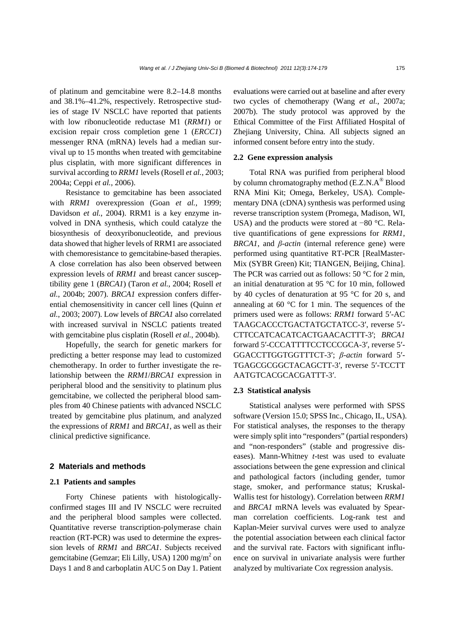of platinum and gemcitabine were 8.2–14.8 months and 38.1%–41.2%, respectively. Retrospective studies of stage IV NSCLC have reported that patients with low ribonucleotide reductase M1 (*RRM1*) or excision repair cross completion gene 1 (*ERCC1*) messenger RNA (mRNA) levels had a median survival up to 15 months when treated with gemcitabine plus cisplatin, with more significant differences in survival according to *RRM1* levels (Rosell *et al.*, 2003; 2004a; Ceppi *et al.*, 2006).

Resistance to gemcitabine has been associated with *RRM1* overexpression (Goan *et al.*, 1999; Davidson *et al.*, 2004). RRM1 is a key enzyme involved in DNA synthesis, which could catalyze the biosynthesis of deoxyribonucleotide, and previous data showed that higher levels of RRM1 are associated with chemoresistance to gemcitabine-based therapies. A close correlation has also been observed between expression levels of *RRM1* and breast cancer susceptibility gene 1 (*BRCA1*) (Taron *et al.*, 2004; Rosell *et al.*, 2004b; 2007). *BRCA1* expression confers differential chemosensitivity in cancer cell lines (Quinn *et al.*, 2003; 2007). Low levels of *BRCA1* also correlated with increased survival in NSCLC patients treated with gemcitabine plus cisplatin (Rosell *et al.*, 2004b).

Hopefully, the search for genetic markers for predicting a better response may lead to customized chemotherapy. In order to further investigate the relationship between the *RRM1*/*BRCA1* expression in peripheral blood and the sensitivity to platinum plus gemcitabine, we collected the peripheral blood samples from 40 Chinese patients with advanced NSCLC treated by gemcitabine plus platinum, and analyzed the expressions of *RRM1* and *BRCA1*, as well as their clinical predictive significance.

## **2 Materials and methods**

#### **2.1 Patients and samples**

Forty Chinese patients with histologicallyconfirmed stages III and IV NSCLC were recruited and the peripheral blood samples were collected. Quantitative reverse transcription-polymerase chain reaction (RT-PCR) was used to determine the expression levels of *RRM1* and *BRCA1*. Subjects received gemcitabine (Gemzar; Eli Lilly, USA) 1200 mg/m<sup>2</sup> on Days 1 and 8 and carboplatin AUC 5 on Day 1. Patient

evaluations were carried out at baseline and after every two cycles of chemotherapy (Wang *et al.*, 2007a; 2007b). The study protocol was approved by the Ethical Committee of the First Affiliated Hospital of Zhejiang University, China. All subjects signed an informed consent before entry into the study.

## **2.2 Gene expression analysis**

Total RNA was purified from peripheral blood by column chromatography method (E.Z.N.A® Blood RNA Mini Kit; Omega, Berkeley, USA). Complementary DNA (cDNA) synthesis was performed using reverse transcription system (Promega, Madison, WI, USA) and the products were stored at −80 °C. Relative quantifications of gene expressions for *RRM1*, *BRCA1*, and *β-actin* (internal reference gene) were performed using quantitative RT-PCR [RealMaster-Mix (SYBR Green) Kit; TIANGEN, Beijing, China]. The PCR was carried out as follows: 50 °C for 2 min, an initial denaturation at 95 °C for 10 min, followed by 40 cycles of denaturation at 95 °C for 20 s, and annealing at 60 $\degree$ C for 1 min. The sequences of the primers used were as follows: *RRM1* forward 5′-AC TAAGCACCCTGACTATGCTATCC-3′, reverse 5′- CTTCCATCACATCACTGAACACTTT-3′; *BRCA1* forward 5′-CCCATTTTCCTCCCGCA-3′, reverse 5′- GGACCTTGGTGGTTTCT-3′; *β-actin* forward 5′- TGAGCGCGGCTACAGCTT-3′, reverse 5′-TCCTT AATGTCACGCACGATTT-3′.

## **2.3 Statistical analysis**

Statistical analyses were performed with SPSS software (Version 15.0; SPSS Inc., Chicago, IL, USA). For statistical analyses, the responses to the therapy were simply split into "responders" (partial responders) and "non-responders" (stable and progressive diseases). Mann-Whitney *t*-test was used to evaluate associations between the gene expression and clinical and pathological factors (including gender, tumor stage, smoker, and performance status; Kruskal-Wallis test for histology). Correlation between *RRM1* and *BRCA1* mRNA levels was evaluated by Spearman correlation coefficients. Log-rank test and Kaplan-Meier survival curves were used to analyze the potential association between each clinical factor and the survival rate. Factors with significant influence on survival in univariate analysis were further analyzed by multivariate Cox regression analysis.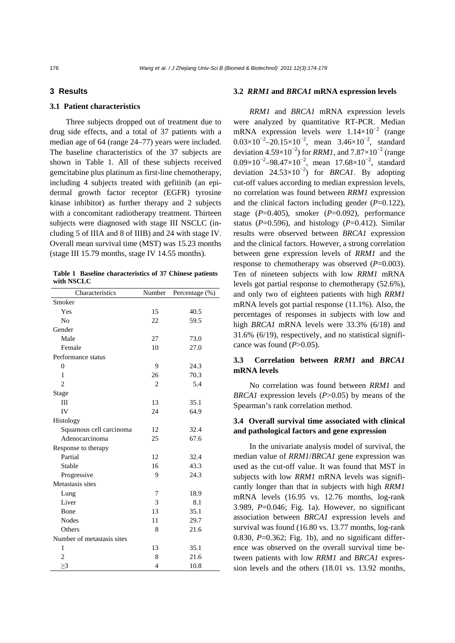## **3 Results**

## **3.1 Patient characteristics**

Three subjects dropped out of treatment due to drug side effects, and a total of 37 patients with a median age of 64 (range 24–77) years were included. The baseline characteristics of the 37 subjects are shown in Table 1. All of these subjects received gemcitabine plus platinum as first-line chemotherapy, including 4 subjects treated with gefitinib (an epidermal growth factor receptor (EGFR) tyrosine kinase inhibitor) as further therapy and 2 subjects with a concomitant radiotherapy treatment. Thirteen subjects were diagnosed with stage III NSCLC (including 5 of IIIA and 8 of IIIB) and 24 with stage IV. Overall mean survival time (MST) was 15.23 months (stage III 15.79 months, stage IV 14.55 months).

|            | Table 1 Baseline characteristics of 37 Chinese patients |  |  |
|------------|---------------------------------------------------------|--|--|
| with NSCLC |                                                         |  |  |

| Characteristics            | Number         | Percentage (%) |  |
|----------------------------|----------------|----------------|--|
| Smoker                     |                |                |  |
| Yes                        | 15             | 40.5           |  |
| No                         | 22             | 59.5           |  |
| Gender                     |                |                |  |
| Male                       | 27             | 73.0           |  |
| Female                     | 10             | 27.0           |  |
| Performance status         |                |                |  |
| 0                          | 9              | 24.3           |  |
| 1                          | 26             | 70.3           |  |
| $\overline{c}$             | $\overline{c}$ | 5.4            |  |
| Stage                      |                |                |  |
| IΙI                        | 13             | 35.1           |  |
| IV                         | 24             | 64.9           |  |
| Histology                  |                |                |  |
| Squamous cell carcinoma    | 12             | 32.4           |  |
| Adenocarcinoma             | 25             | 67.6           |  |
| Response to therapy        |                |                |  |
| Partial                    | 12             | 32.4           |  |
| Stable                     | 16             | 43.3           |  |
| Progressive                | 9              | 24.3           |  |
| Metastasis sites           |                |                |  |
| Lung                       | 7              | 18.9           |  |
| Liver                      | 3              | 8.1            |  |
| Bone                       | 13             | 35.1           |  |
| Nodes                      | 11             | 29.7           |  |
| Others                     | 8              | 21.6           |  |
| Number of metastasis sites |                |                |  |
| 1                          | 13             | 35.1           |  |
| $\overline{c}$             | 8              | 21.6           |  |
| >3                         | $\overline{4}$ | 10.8           |  |

#### **3.2** *RRM1* **and** *BRCA1* **mRNA expression levels**

*RRM1* and *BRCA1* mRNA expression levels were analyzed by quantitative RT-PCR. Median mRNA expression levels were  $1.14 \times 10^{-2}$  (range  $0.03 \times 10^{-2} - 20.15 \times 10^{-2}$ , mean  $3.46 \times 10^{-2}$ , standard deviation  $4.59\times10^{-2}$ ) for *RRM1*, and  $7.87\times10^{-2}$  (range  $0.09\times10^{-2}$  -98.47×10<sup>-2</sup>, mean 17.68×10<sup>-2</sup>, standard deviation  $24.53 \times 10^{-2}$ ) for *BRCA1*. By adopting cut-off values according to median expression levels, no correlation was found between *RRM1* expression and the clinical factors including gender (*P*=0.122), stage (*P*=0.405), smoker (*P*=0.092), performance status ( $P=0.596$ ), and histology ( $P=0.412$ ). Similar results were observed between *BRCA1* expression and the clinical factors. However, a strong correlation between gene expression levels of *RRM1* and the response to chemotherapy was observed ( $P=0.003$ ). Ten of nineteen subjects with low *RRM1* mRNA levels got partial response to chemotherapy (52.6%), and only two of eighteen patients with high *RRM1* mRNA levels got partial response (11.1%). Also, the percentages of responses in subjects with low and high *BRCA1* mRNA levels were 33.3% (6/18) and 31.6% (6/19), respectively, and no statistical significance was found  $(P>0.05)$ .

# **3.3 Correlation between** *RRM1* **and** *BRCA1*  **mRNA levels**

No correlation was found between *RRM1* and *BRCA1* expression levels (*P*>0.05) by means of the Spearman's rank correlation method.

# **3.4 Overall survival time associated with clinical and pathological factors and gene expression**

In the univariate analysis model of survival, the median value of *RRM1*/*BRCA1* gene expression was used as the cut-off value. It was found that MST in subjects with low *RRM1* mRNA levels was significantly longer than that in subjects with high *RRM1* mRNA levels (16.95 vs. 12.76 months, log-rank 3.989, *P*=0.046; Fig. 1a). However, no significant association between *BRCA1* expression levels and survival was found (16.80 vs. 13.77 months, log-rank 0.830,  $P=0.362$ ; Fig. 1b), and no significant difference was observed on the overall survival time between patients with low *RRM1* and *BRCA1* expression levels and the others (18.01 vs. 13.92 months,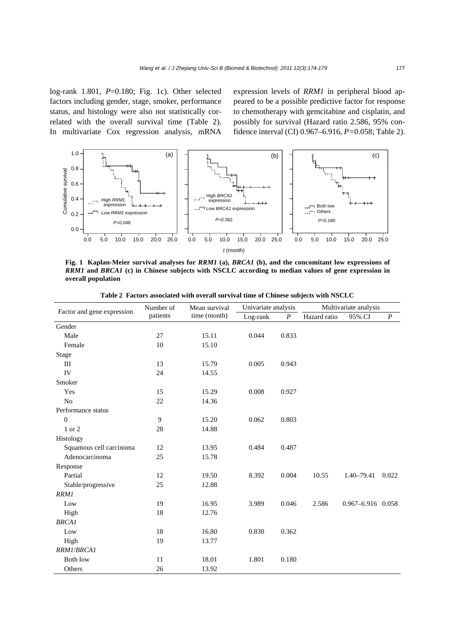log-rank 1.801, *P*=0.180; Fig. 1c). Other selected factors including gender, stage, smoker, performance status, and histology were also not statistically correlated with the overall survival time (Table 2). In multivariate Cox regression analysis, mRNA

expression levels of *RRM1* in peripheral blood appeared to be a possible predictive factor for response to chemotherapy with gemcitabine and cisplatin, and possibly for survival (Hazard ratio 2.586, 95% confidence interval (CI) 0.967–6.916, *P=*0.058; Table 2).



**Fig. 1 Kaplan-Meier survival analyses for** *RRM1* **(a),** *BRCA1* **(b), and the concomitant low expressions of**  *RRM1* **and** *BRCA1* **(c) in Chinese subjects with NSCLC according to median values of gene expression in overall population**

| Factor and gene expression | Number of | Mean survival<br>time (month) | Univariate analysis |                  | Multivariate analysis |                   |                  |
|----------------------------|-----------|-------------------------------|---------------------|------------------|-----------------------|-------------------|------------------|
|                            | patients  |                               | Log-rank            | $\boldsymbol{P}$ | Hazard ratio          | 95% CI            | $\boldsymbol{P}$ |
| Gender                     |           |                               |                     |                  |                       |                   |                  |
| Male                       | 27        | 15.11                         | 0.044               | 0.833            |                       |                   |                  |
| Female                     | 10        | 15.10                         |                     |                  |                       |                   |                  |
| <b>Stage</b>               |           |                               |                     |                  |                       |                   |                  |
| Ш                          | 13        | 15.79                         | 0.005               | 0.943            |                       |                   |                  |
| IV                         | 24        | 14.55                         |                     |                  |                       |                   |                  |
| Smoker                     |           |                               |                     |                  |                       |                   |                  |
| Yes                        | 15        | 15.29                         | 0.008               | 0.927            |                       |                   |                  |
| N <sub>o</sub>             | 22        | 14.36                         |                     |                  |                       |                   |                  |
| Performance status         |           |                               |                     |                  |                       |                   |                  |
| $\boldsymbol{0}$           | 9         | 15.20                         | 0.062               | 0.803            |                       |                   |                  |
| 1 or 2                     | 28        | 14.88                         |                     |                  |                       |                   |                  |
| Histology                  |           |                               |                     |                  |                       |                   |                  |
| Squamous cell carcinoma    | 12        | 13.95                         | 0.484               | 0.487            |                       |                   |                  |
| Adenocarcinoma             | 25        | 15.78                         |                     |                  |                       |                   |                  |
| Response                   |           |                               |                     |                  |                       |                   |                  |
| Partial                    | 12        | 19.50                         | 8.392               | 0.004            | 10.55                 | $1.40 - 79.41$    | 0.022            |
| Stable/progressive         | 25        | 12.88                         |                     |                  |                       |                   |                  |
| <b>RRM1</b>                |           |                               |                     |                  |                       |                   |                  |
| Low                        | 19        | 16.95                         | 3.989               | 0.046            | 2.586                 | 0.967-6.916 0.058 |                  |
| High                       | 18        | 12.76                         |                     |                  |                       |                   |                  |
| <b>BRCA1</b>               |           |                               |                     |                  |                       |                   |                  |
| Low                        | 18        | 16.80                         | 0.830               | 0.362            |                       |                   |                  |
| High                       | 19        | 13.77                         |                     |                  |                       |                   |                  |
| RRM1/BRCA1                 |           |                               |                     |                  |                       |                   |                  |
| <b>Both low</b>            | 11        | 18.01                         | 1.801               | 0.180            |                       |                   |                  |
| Others                     | 26        | 13.92                         |                     |                  |                       |                   |                  |

**Table 2 Factors associated with overall survival time of Chinese subjects with NSCLC**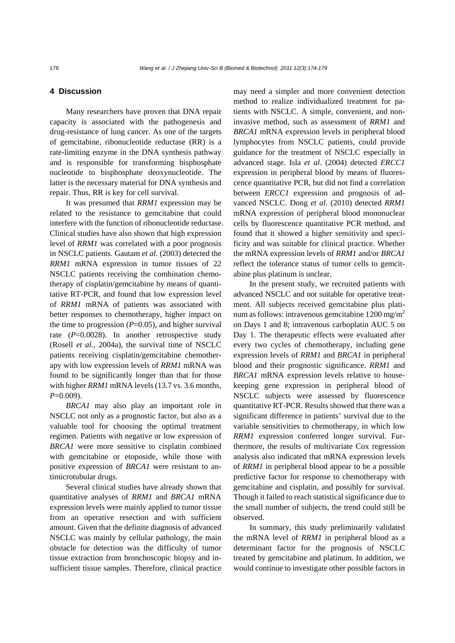# **4 Discussion**

Many researchers have proven that DNA repair capacity is associated with the pathogenesis and drug-resistance of lung cancer. As one of the targets of gemcitabine, ribonucleotide reductase (RR) is a rate-limiting enzyme in the DNA synthesis pathway and is responsible for transforming bisphosphate nucleotide to bisphosphate deoxynucleotide. The latter is the necessary material for DNA synthesis and repair. Thus, RR is key for cell survival.

It was presumed that *RRM1* expression may be related to the resistance to gemcitabine that could interfere with the function of ribonucleotide reductase. Clinical studies have also shown that high expression level of *RRM1* was correlated with a poor prognosis in NSCLC patients. Gautam *et al*. (2003) detected the *RRM1* mRNA expression in tumor tissues of 22 NSCLC patients receiving the combination chemotherapy of cisplatin/gemcitabine by means of quantitative RT-PCR, and found that low expression level of *RRM1* mRNA of patients was associated with better responses to chemotherapy, higher impact on the time to progression  $(P=0.05)$ , and higher survival rate (P=0.0028). In another retrospective study (Rosell *et al.*, 2004a), the survival time of NSCLC patients receiving cisplatin/gemcitabine chemotherapy with low expression levels of *RRM1* mRNA was found to be significantly longer than that for those with higher *RRM1* mRNA levels (13.7 vs. 3.6 months, *P*=0.009).

*BRCA1* may also play an important role in NSCLC not only as a prognostic factor, but also as a valuable tool for choosing the optimal treatment regimen. Patients with negative or low expression of *BRCA1* were more sensitive to cisplatin combined with gemcitabine or etoposide, while those with positive expression of *BRCA1* were resistant to antimicrotubular drugs.

Several clinical studies have already shown that quantitative analyses of *RRM1* and *BRCA1* mRNA expression levels were mainly applied to tumor tissue from an operative resection and with sufficient amount. Given that the definite diagnosis of advanced NSCLC was mainly by cellular pathology, the main obstacle for detection was the difficulty of tumor tissue extraction from bronchoscopic biopsy and insufficient tissue samples. Therefore, clinical practice

may need a simpler and more convenient detection method to realize individualized treatment for patients with NSCLC. A simple, convenient, and noninvasive method, such as assessment of *RRM1* and *BRCA1* mRNA expression levels in peripheral blood lymphocytes from NSCLC patients, could provide guidance for the treatment of NSCLC especially in advanced stage. Isla *et al*. (2004) detected *ERCC1* expression in peripheral blood by means of fluorescence quantitative PCR, but did not find a correlation between *ERCC1* expression and prognosis of advanced NSCLC. Dong *et al*. (2010) detected *RRM1* mRNA expression of peripheral blood mononuclear cells by fluorescence quantitative PCR method, and found that it showed a higher sensitivity and specificity and was suitable for clinical practice. Whether the mRNA expression levels of *RRM1* and/or *BRCA1* reflect the tolerance status of tumor cells to gemcitabine plus platinum is unclear.

In the present study, we recruited patients with advanced NSCLC and not suitable for operative treatment. All subjects received gemcitabine plus platinum as follows: intravenous gemcitabine  $1200$  mg/m<sup>2</sup> on Days 1 and 8; intravenous carboplatin AUC 5 on Day 1. The therapeutic effects were evaluated after every two cycles of chemotherapy, including gene expression levels of *RRM1* and *BRCA1* in peripheral blood and their prognostic significance. *RRM1* and *BRCA1* mRNA expression levels relative to housekeeping gene expression in peripheral blood of NSCLC subjects were assessed by fluorescence quantitative RT-PCR. Results showed that there was a significant difference in patients' survival due to the variable sensitivities to chemotherapy, in which low *RRM1* expression conferred longer survival. Furthermore, the results of multivariate Cox regression analysis also indicated that mRNA expression levels of *RRM1* in peripheral blood appear to be a possible predictive factor for response to chemotherapy with gemcitabine and cisplatin, and possibly for survival. Though it failed to reach statistical significance due to the small number of subjects, the trend could still be observed.

In summary, this study preliminarily validated the mRNA level of *RRM1* in peripheral blood as a determinant factor for the prognosis of NSCLC treated by gemcitabine and platinum. In addition, we would continue to investigate other possible factors in